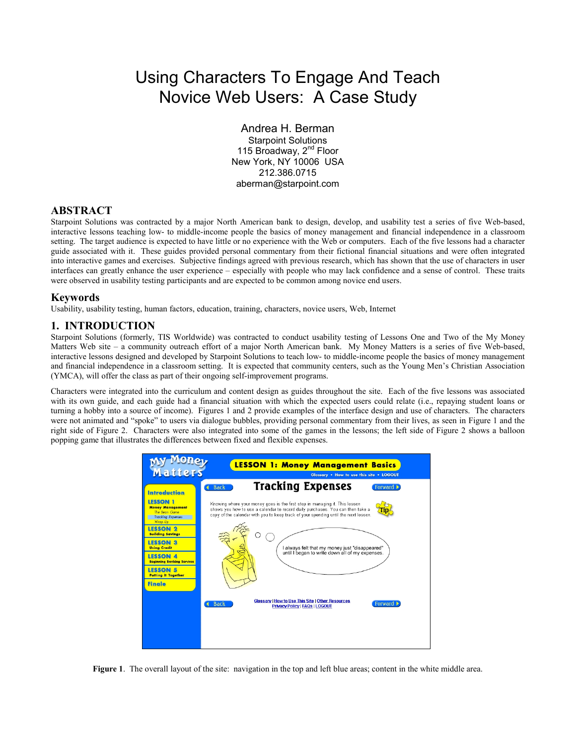# Using Characters To Engage And Teach Novice Web Users: A Case Study

Andrea H. Berman

Starpoint Solutions 115 Broadway, 2<sup>nd</sup> Floor New York, NY 10006 USA 212.386.0715 aberman@starpoint.com

## **ABSTRACT**

Starpoint Solutions was contracted by a major North American bank to design, develop, and usability test a series of five Web-based, interactive lessons teaching low- to middle-income people the basics of money management and financial independence in a classroom setting. The target audience is expected to have little or no experience with the Web or computers. Each of the five lessons had a character guide associated with it. These guides provided personal commentary from their fictional financial situations and were often integrated into interactive games and exercises. Subjective findings agreed with previous research, which has shown that the use of characters in user interfaces can greatly enhance the user experience – especially with people who may lack confidence and a sense of control. These traits were observed in usability testing participants and are expected to be common among novice end users.

#### **Keywords**

Usability, usability testing, human factors, education, training, characters, novice users, Web, Internet

## **1. INTRODUCTION**

Starpoint Solutions (formerly, TIS Worldwide) was contracted to conduct usability testing of Lessons One and Two of the My Money Matters Web site – a community outreach effort of a major North American bank. My Money Matters is a series of five Web-based, interactive lessons designed and developed by Starpoint Solutions to teach low- to middle-income people the basics of money management and financial independence in a classroom setting. It is expected that community centers, such as the Young Men's Christian Association (YMCA), will offer the class as part of their ongoing self-improvement programs.

Characters were integrated into the curriculum and content design as guides throughout the site. Each of the five lessons was associated with its own guide, and each guide had a financial situation with which the expected users could relate (i.e., repaying student loans or turning a hobby into a source of income). Figures 1 and 2 provide examples of the interface design and use of characters. The characters were not animated and "spoke" to users via dialogue bubbles, providing personal commentary from their lives, as seen in Figure 1 and the right side of Figure 2. Characters were also integrated into some of the games in the lessons; the left side of Figure 2 shows a balloon popping game that illustrates the differences between fixed and flexible expenses.



**Figure 1.** The overall layout of the site: navigation in the top and left blue areas; content in the white middle area.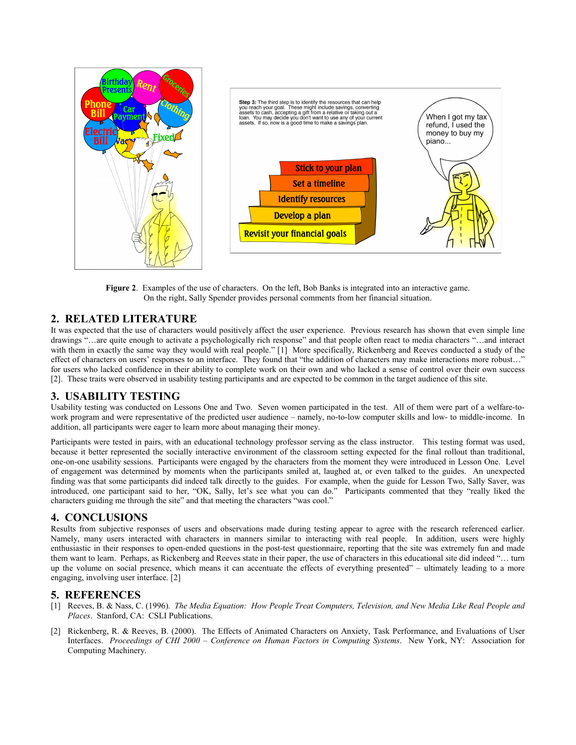

**Figure 2**. Examples of the use of characters. On the left, Bob Banks is integrated into an interactive game. On the right, Sally Spender provides personal comments from her financial situation.

#### **2. RELATED LITERATURE**

It was expected that the use of characters would positively affect the user experience. Previous research has shown that even simple line drawings "…are quite enough to activate a psychologically rich response" and that people often react to media characters "…and interact with them in exactly the same way they would with real people." [1] More specifically, Rickenberg and Reeves conducted a study of the effect of characters on users' responses to an interface. They found that "the addition of characters may make interactions more robust…" for users who lacked confidence in their ability to complete work on their own and who lacked a sense of control over their own success [2]. These traits were observed in usability testing participants and are expected to be common in the target audience of this site.

#### **3. USABILITY TESTING**

Usability testing was conducted on Lessons One and Two. Seven women participated in the test. All of them were part of a welfare-towork program and were representative of the predicted user audience – namely, no-to-low computer skills and low- to middle-income. In addition, all participants were eager to learn more about managing their money.

Participants were tested in pairs, with an educational technology professor serving as the class instructor. This testing format was used, because it better represented the socially interactive environment of the classroom setting expected for the final rollout than traditional, one-on-one usability sessions. Participants were engaged by the characters from the moment they were introduced in Lesson One. Level of engagement was determined by moments when the participants smiled at, laughed at, or even talked to the guides. An unexpected finding was that some participants did indeed talk directly to the guides. For example, when the guide for Lesson Two, Sally Saver, was introduced, one participant said to her, "OK, Sally, let's see what you can do." Participants commented that they "really liked the characters guiding me through the site" and that meeting the characters "was cool."

#### **4. CONCLUSIONS**

Results from subjective responses of users and observations made during testing appear to agree with the research referenced earlier. Namely, many users interacted with characters in manners similar to interacting with real people. In addition, users were highly enthusiastic in their responses to open-ended questions in the post-test questionnaire, reporting that the site was extremely fun and made them want to learn. Perhaps, as Rickenberg and Reeves state in their paper, the use of characters in this educational site did indeed "… turn up the volume on social presence, which means it can accentuate the effects of everything presented" – ultimately leading to a more engaging, involving user interface. [2]

#### **5. REFERENCES**

- [1] Reeves, B. & Nass, C. (1996). *The Media Equation: How People Treat Computers, Television, and New Media Like Real People and Places*. Stanford, CA: CSLI Publications.
- [2] Rickenberg, R. & Reeves, B. (2000). The Effects of Animated Characters on Anxiety, Task Performance, and Evaluations of User Interfaces. *Proceedings of CHI 2000 – Conference on Human Factors in Computing Systems*. New York, NY: Association for Computing Machinery.